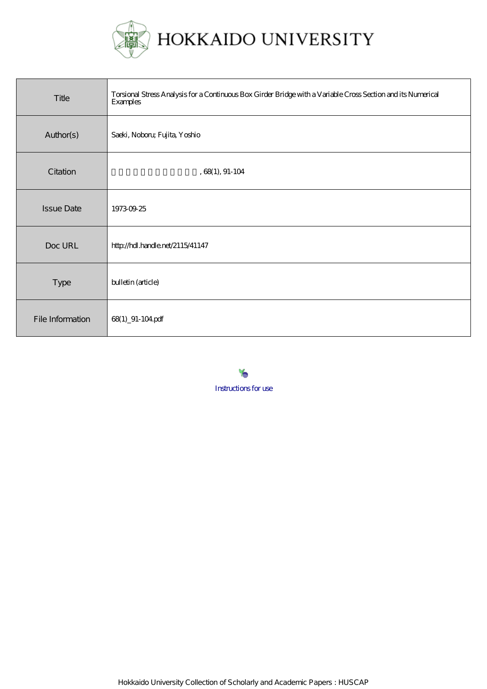

| Title             | Torsional Stress Analysis for a Continuous Box Girder Bridge with a Variable Cross Section and its Numerical<br><b>Examples</b> |
|-------------------|---------------------------------------------------------------------------------------------------------------------------------|
| Author(s)         | Saeki, Noboru; Fujita, Yoshio                                                                                                   |
| Citation          | $, 68(1), 91-104$                                                                                                               |
| <b>Issue Date</b> | 19730925                                                                                                                        |
| Doc URL           | http://hdl.handle.net/2115/41147                                                                                                |
| Type              | bulletin (article)                                                                                                              |
| File Information  | 68(1) 91-104 pdf                                                                                                                |

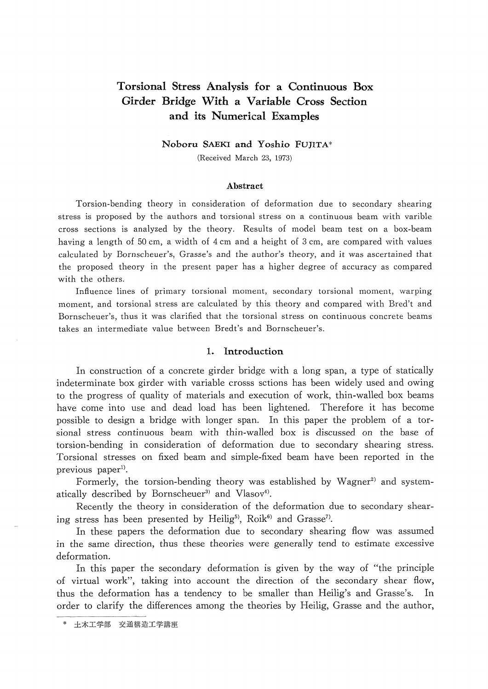# Torsional Stress Analysis for a Continuous Box Girder Bridge With a Variable Cross Section and its Numerical Examples

Noboru SAEKI and Yoshio FUJITA"

(Received March 23, 1973)

#### Abstract

 Torsion-bending theory in consideration of deformation due to secondary shearing stress is proposed by the authors and torsional stress on a continuous beam with varible cross sections is analyzed by the theory. Results of model beam test on a box-beam having a length of 50 cm, a width of  $4 \text{ cm}$  and a height of 3 cm, are compared with values calculated by Bornscheuer's, Grasse's and the author's theory, and it was ascertained that the proposed theory in the present paper has a higher degree of accuracy as compared with the others.

 Infiuence lines of primary torsional moment, secondary torsional moment, warping moment, and torsional stress are calculated by this theory and compared with Bred't and Bornscheuer's, thus it was clarified that the torsional stress on continuous concrete beams takes an intermediate value between Bredt's and Bornscheuer's.

## 1. lntroduction

 In eonstruction of a concrete girder bridge with a long span, a type of statically indeterminate box girder with variable crosss sctions has been widely used and owing to the progress of quality of materials and execution of work, thin-walled box beams have come into use and dead load has been lightened. Therefore it has become possible to design a bridge with longer span. ln this paper the problem of a tor sional stress continuous beam with thin-walled box is discussed on the base of torsion-bending in consideration of deformation due to secondary shearing stress. Torsional stresses on fixed beam and simple-fixed beam have been reported in the previous paper<sup>1)</sup>.

Formerly, the torsion-bending theory was established by Wagner<sup>2)</sup> and systematically described by Bornscheuer<sup>3)</sup> and Vlasov<sup>4)</sup>.

Recently the theory in consideration of the deformation due to secondary shearing stress has been presented by Heilig<sup>5)</sup>, Roik<sup>6)</sup> and Grasse<sup>7</sup>.

 In these papers the deformation due to secondary shearing flow was assumed in the same direction, thus these theories were generally tend to estimate excessive deformation.

 In this paper the secondary deformation is given by the way of "the principle of virtual work", taking into account the direction of the secondary shear flow, thus the deformation has a tendency to be smaller than Heilig's and Grasse's. ln order to clarify the differences among the theories by Heilig, Grasse and the author,

土木工学部 交通構造工学講座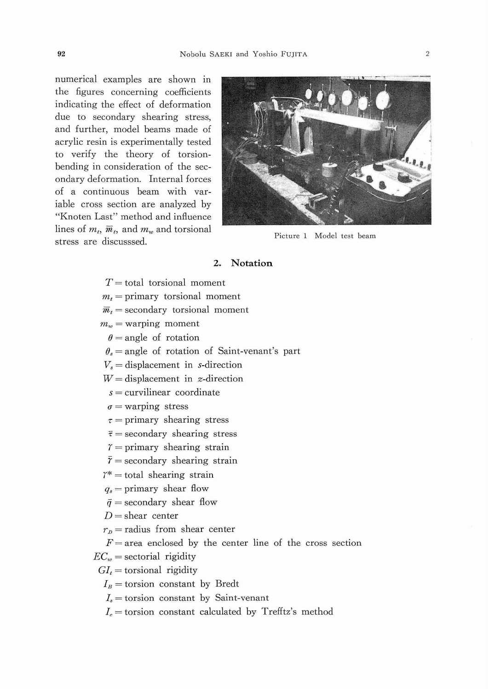numerical examples are shown in the figures concerning coeficients indicating the effect of deformation due to secondary shearing stress, and further, model beams made of acrylic resin is experimentally tested to verify the theory of torsion bending in consideration of the sec ondary deformation. lnternal forces of a continuous beam with var iable cross section are analyzed by "Knoten Last" method and influence lines of  $m_t$ ,  $\overline{m}_t$ , and  $m_w$  and torsional stress are discusssed. The extended value of  $m_k$ ,  $m_l$ , and  $m_w$  and torsional property Picture 1 Model test beam



### Z. Notation

 $T =$  total torsional moment  $m_t$  = primary torsional moment  $\overline{m}_t$  = secondary torsional moment  $m_w =$  warping moment  $\theta$  = angle of rotation  $\theta_s$  = angle of rotation of Saint-venant's part  $V<sub>s</sub>$  = displacement in s-direction  $W =$  displacement in *z*-direction  $s =$  curvilinear coordinate  $\sigma$  = warping stress  $\tau$  = primary shearing stress  $\bar{\tau}$  = secondary shearing stress  $\gamma$  = primary shearing strain  $\bar{r}$  = secondary shearing strain  $\gamma^*$  = total shearing strain  $q_s$  = primary shear flow  $\bar{q}$  = secondary shear flow  $D =$ shear center  $r_p$  = radius from shear center  $F=$  area enclosed by the center line of the cross section  $EC_w =$  sectorial rigidity

 $GI_t =$  torsional rigidity

 $I_B$  = torsion constant by Bredt

 $I_s$  = torsion constant by Saint-venant

 $I_c$  = torsion constant calculated by Trefftz's method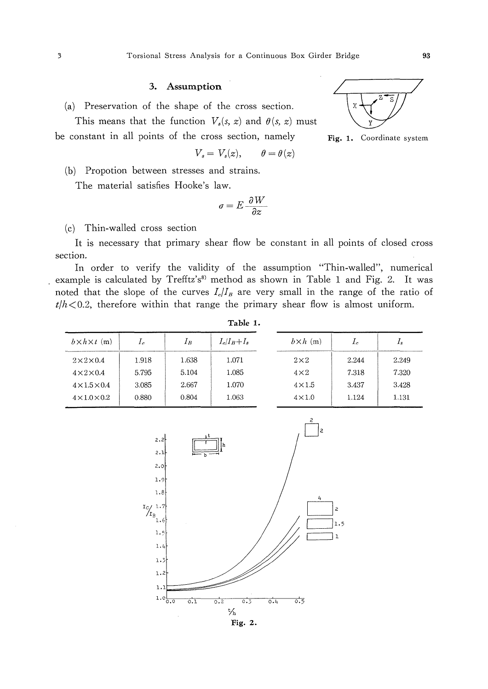# 3. Assumption

(a) Preservation of the shape of the cross section.

This means that the function  $V_s(s, z)$  and  $\theta(s, z)$  must be constant in all points of the cross section, namely

$$
V_s = V_s(z), \qquad \theta = \theta(z)
$$

(b) Propotion between stresses and strains.

The material satisfies Hooke's law.

$$
\sigma = E \frac{\partial W}{\partial z}
$$

(c) Thin-walled cross section

It is necessary that primary shear flow be constant in all points of closed cross section.

In order to verify the validity of the assumption "Thin-walled", numerical example is calculated by Trefftz's<sup>8)</sup> method as shown in Table 1 and Fig. 2. It was noted that the slope of the curves  $I_c/I_B$  are very small in the range of the ratio of  $t/h < 0.2$ , therefore within that range the primary shear flow is almost uniform.

| $b \times h \times t$ (m) | $I_{c}$ | $I_c/I_B+I_s$<br>$I_B$ |       | $b \times h$ (m) | $\mathcal{L}c$ | $I_s$ |  |
|---------------------------|---------|------------------------|-------|------------------|----------------|-------|--|
| $2\times2\times0.4$       | 1.918   | 1.638                  | 1.071 | $2\times2$       | 2.244          | 2.249 |  |
| $4\times2\times0.4$       | 5.795   | 5.104                  | 1.085 | $4\times2$       | 7.318          | 7.320 |  |
| $4\times1.5\times0.4$     | 3.085   | 2.667                  | 1.070 | $4\times1.5$     | 3.437          | 3.428 |  |
| $4 \times 1.0 \times 0.2$ | 0.880   | 0.804                  | 1.063 | $4\times1.0$     | 1.124          | 1.131 |  |



Fig. 2.



Coordinate system

Fig.  $1.$ 

Table 1.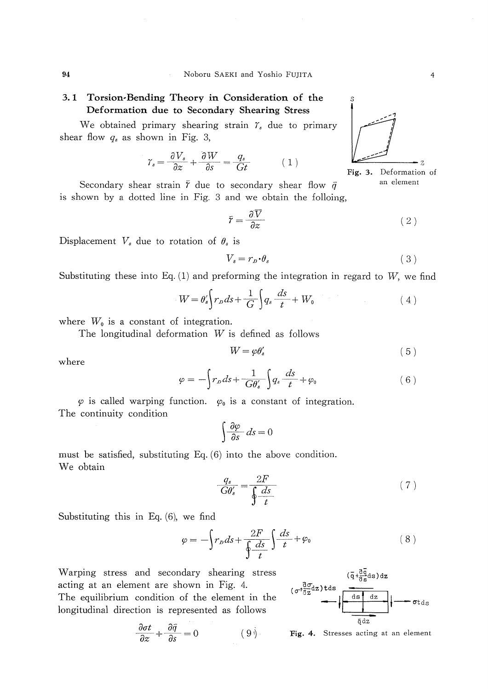# 3.1 Torsion-Bending Theory in Consideration of the Deformation due to Secondary Shearing Stress

We obtained primary shearing strain  $\gamma_s$  due to primary shear flow  $q_s$  as shown in Fig. 3,

$$
\gamma_s = \frac{\partial V_s}{\partial z} + \frac{\partial W}{\partial s} = \frac{q_s}{Gt} \tag{1}
$$



Secondary shear strain  $\bar{r}$  due to secondary shear flow  $\bar{q}$ is shown by a dotted line in Fig. 3 and we obtain the folloing,

$$
\bar{r} = \frac{\partial \bar{V}}{\partial z} \tag{2}
$$

Displacement  $V_s$  due to rotation of  $\theta_s$  is

$$
V_s = r_p \cdot \theta_s \tag{3}
$$

Substituting these into Eq. (1) and preforming the integration in regard to  $W$ , we find

$$
W = \theta'_s \bigg\{ r_D ds + \frac{1}{G} \bigg\} q_s \frac{ds}{t} + W_0 \tag{4}
$$

where  $W_0$  is a constant of integration.

The longitudinal deformation  $W$  is defined as follows

$$
W = \varphi \theta_s' \tag{5}
$$

where

$$
\varphi = -\int r_D ds + \frac{1}{G\theta'_s} \int q_s \frac{ds}{t} + \varphi_0 \tag{6}
$$

 $\varphi$  is called warping function.  $\varphi_0$  is a constant of integration. The continuity condition

$$
\int \frac{\partial \varphi}{\partial s} \, ds = 0
$$

must be satisfied, substituting Eq. (6) into the above condition. We obtain

$$
\frac{q_s}{G\theta'_s} = \frac{2F}{\oint \frac{ds}{t}}\tag{7}
$$

Substituting this in Eq. (6), we find

$$
\varphi = -\int r_D ds + \frac{2F}{\oint \frac{ds}{t}} \int \frac{ds}{t} + \varphi_0 \tag{8}
$$

Warping stress and secondary shearing stress acting at an element are shown in Fig. 4. The equilibrium condition of the element in the longitudinal direction is represented as follows

$$
\frac{\partial \sigma t}{\partial z} + \frac{\partial \bar{q}}{\partial s} = 0 \tag{9}math>
$$



Fig. 4. Stresses acting at an element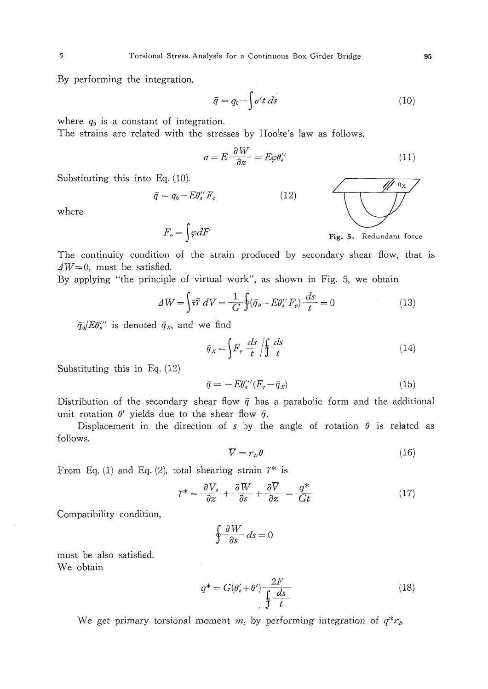By performing the integration.

$$
\bar{q} = q_0 - \int \sigma' t \, ds \tag{10}
$$

where  $q_0$  is a constant of integration.

The strains are related with the stresses by Hooke's law as follows.

 $\sigma = E \frac{\partial W}{\partial \theta} = E \omega \theta'$  $(11)$ 

Substituting this into Eq. (10).

$$
\bar{q} = q_0 - E\theta_s^{\prime\prime} F_r \tag{12}
$$

where

 $F_{\varphi} = \int \varphi dF$  Fig. 5. Redundant force

The continuity condition of the strain produced by secondary shear fiow, that is  $\Delta W = 0$ , must be satisfied.

By applying "the principle of virtual work", as shown in Fig. 5, we obtain

$$
\Delta W = \int \overline{\overline{v}} \, \overline{v} \, dV = \frac{1}{G} \oint (\overline{q}_0 - E\theta_s'' F_\varphi) \frac{ds}{t} = 0 \tag{13}
$$

 $\bar{q}_0/E\theta_s''$  is denoted  $\bar{q}_x$ , and we find

$$
\bar{q}_x = \left\{ F_\varphi \frac{ds}{t} \middle| \oint \frac{ds}{t} \right\} \tag{14}
$$

Substituting this in Eq.  $(12)$ 

$$
\bar{q} = -E\theta_s^{\prime\prime\prime}(F_\varphi - \bar{q}_x) \tag{15}
$$

Distribution of the secondary shear flow  $\bar{q}$  has a parabolic form and the additional unit rotation  $\bar{\theta}'$  yields due to the shear flow  $\bar{q}$ .

Displacement in the direction of s by the angle of rotation  $\bar{\theta}$  is related as follows.

$$
\overline{V} = r_p \overline{\theta} \tag{16}
$$

From Eq. (1) and Eq. (2), total shearing strain  $\mathcal{V}^*$  is

$$
\Upsilon^* = \frac{\partial V_s}{\partial z} + \frac{\partial W}{\partial s} + \frac{\partial \overline{V}}{\partial z} = \frac{q^*}{Gt} \tag{17}
$$

Compatibility condition,

$$
\oint \frac{\partial W}{\partial s} ds = 0
$$

must be also satisfied. We obtain

$$
q^* = G(\theta'_s + \bar{\theta}') \frac{2F}{\oint \frac{ds}{t}}
$$
 (18)

We get primary torsional moment  $m_t$  by performing integration of  $q^*r_p$ 

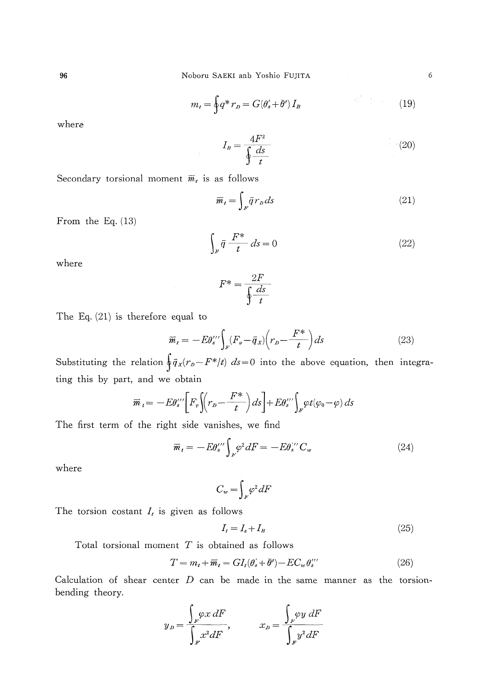Noboru SAEKI anb Yoshio FUJITA

$$
m_t = \oint q^* r_D = G(\theta'_s + \bar{\theta}') I_B \tag{19}
$$

where

 $I_{B}=\frac{4F^{2}}{\oint \frac{ds}{t}}$  $(20)$ 

Secondary torsional moment  $\overline{m}_t$  is as follows

$$
\overline{m}_t = \int_F \overline{q} \, r_D \, ds \tag{21}
$$

From the Eq.  $(13)$ 

$$
\int_{F} \bar{q} \frac{F^*}{t} ds = 0 \tag{22}
$$

where

$$
F^* = \frac{2F}{\oint \frac{ds}{t}}
$$

The Eq.  $(21)$  is therefore equal to

$$
\overline{m}_t = -E\theta_s^{\prime\prime} \int_F \left( F_\varphi - \overline{q}_x \right) \left( r_b - \frac{F^*}{t} \right) ds \tag{23}
$$

Substituting the relation  $\oint \bar{q}_x(r_p - F^* / t) ds = 0$  into the above equation, then integrating this by part, and we obtain

$$
\overline{m}_t = -E\theta_s^{\prime\prime} \left[ F_\varphi \left( r_b - \frac{F^*}{t} \right) ds \right] + E\theta_s^{\prime\prime} \left( \int_F \varphi t (\varphi_0 - \varphi) \, ds \right)
$$

The first term of the right side vanishes, we find

$$
\overline{m}_i = -E\theta_i'' \int_{F'} \varphi^2 dF = -E\theta_i'' C_w \tag{24}
$$

where

$$
C_w = \int_F \varphi^2 dF
$$

The torsion costant  $I_t$  is given as follows

$$
I_t = I_s + I_B \tag{25}
$$

Total torsional moment  $T$  is obtained as follows

$$
T = m_t + \overline{m}_t = GI_t(\theta'_s + \overline{\theta}') - EC_w \theta''_s \tag{26}
$$

Calculation of shear center  $D$  can be made in the same manner as the torsionbending theory.

$$
y_{D} = \frac{\int_{F} \varphi x \, dF}{\int_{F} x^{2} dF}, \qquad x_{D} = \frac{\int_{F} \varphi y \, dF}{\int_{F} y^{2} dF}
$$

6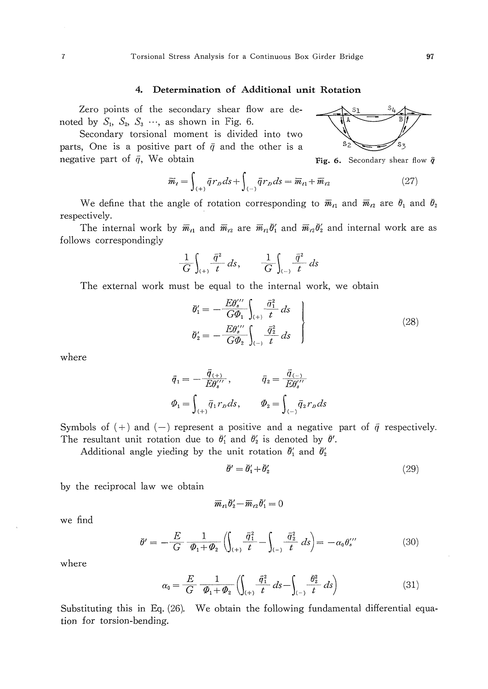#### 4. Determination of Additional unit Rotation

Zero points of the secondary shear flow are denoted by  $S_1$ ,  $S_2$ ,  $S_3$  ..., as shown in Fig. 6.

Secondary torsional moment is divided into two parts, One is a positive part of  $\bar{q}$  and the other is a negative part of  $\bar{q}$ , We obtain

$$
\overline{m}_t = \int_{(+)} \overline{q} r_D ds + \int_{(-)} \overline{q} r_D ds = \overline{m}_{t1} + \overline{m}_{t2} \tag{27}
$$

We define that the angle of rotation corresponding to  $\bar{m}_{t_1}$  and  $\bar{m}_{t_2}$  are  $\bar{\theta}_1$  and  $\bar{\theta}_2$ respectively.

The internal work by  $\bar{m}_{t_1}$  and  $\bar{m}_{t_2}$  are  $\bar{m}_{t_1}\bar{\theta}'_1$  and  $\bar{m}_{t_2}\bar{\theta}'_2$  and internal work are as follows correspondingly

$$
\frac{1}{G} \int_{(+)} \frac{\bar{q}^2}{t} ds, \qquad \frac{1}{G} \int_{(-)} \frac{\bar{q}^2}{t} ds
$$

The external work must be equal to the internal work, we obtain

$$
\bar{\theta}'_1 = -\frac{E\theta''_3}{G\Phi_1} \int_{(+)} \frac{\bar{\sigma}_1^2}{t} ds
$$
\n
$$
\bar{\theta}'_2 = -\frac{E\theta''_3}{G\Phi_2} \int_{(-)} \frac{\bar{\sigma}_2^2}{t} ds
$$
\n(28)

where

$$
\begin{aligned}\n\bar{q}_1 &= -\frac{\bar{q}_{(+)}}{E\theta_s^{\prime\prime\prime}}, & \bar{q}_2 &= \frac{\bar{q}_{(-)}}{E\theta_s^{\prime\prime\prime}}\\
\varPhi_1 &= \int_{(+)} \bar{q}_1 r_p ds, & \varPhi_2 &= \int_{(-)} \bar{q}_2 r_p ds\n\end{aligned}
$$

Symbols of (+) and (-) represent a positive and a negative part of  $\bar{q}$  respectively. The resultant unit rotation due to  $\bar{\theta}'_1$  and  $\bar{\theta}'_2$  is denoted by  $\bar{\theta}'$ .

Additional angle yieding by the unit rotation  $\bar{\theta}'_1$  and  $\bar{\theta}'_2$ 

$$
\bar{\theta}' = \bar{\theta}'_1 + \bar{\theta}'_2 \tag{29}
$$

by the reciprocal law we obtain

$$
\overline{m}_{t1}\overline{\theta}'_2-\overline{m}_{t2}\overline{\theta}'_1=0
$$

we find

$$
\bar{\theta}' = -\frac{E}{G} \frac{1}{\phi_1 + \phi_2} \left( \int_{(+)} \frac{\bar{q}_1^2}{t} - \int_{(-)} \frac{\bar{q}_2^2}{t} \, ds \right) = -\alpha_0 \theta_s''' \tag{30}
$$

where

$$
\alpha_0 = \frac{E}{G} \frac{1}{\phi_1 + \phi_2} \left( \int_{(+)} \frac{\bar{q}_1^2}{t} \, ds - \int_{(-)} \frac{\bar{\theta}_2^2}{t} \, ds \right) \tag{31}
$$

Substituting this in Eq. (26). We obtain the following fundamental differential equation for torsion-bending.



Fig. 6. Secondary shear flow  $\hat{q}$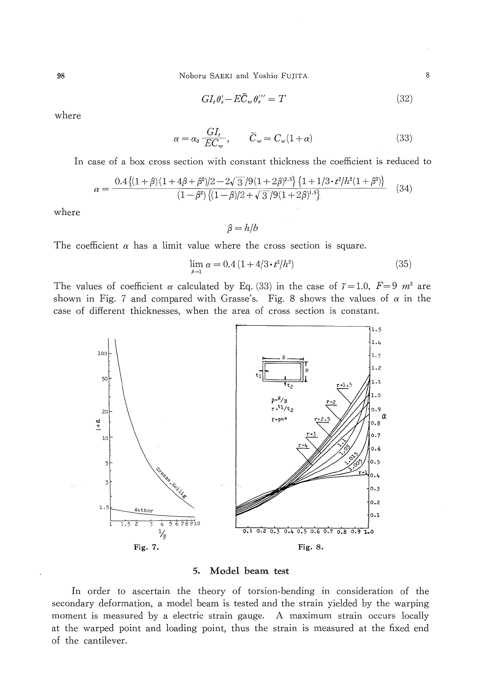Noboru SAEKI and Yoshio FUJITA

$$
GI_t \theta'_s - E\overline{C}_w \theta''_s = T \tag{32}
$$

where

98

$$
\alpha = \alpha_0 \frac{GI_t}{EC_w}, \qquad \overline{C}_w = C_w(1+\alpha) \tag{33}
$$

In case of a box cross section with constant thickness the coefficient is reduced to

$$
\alpha = \frac{0.4\{(1+\beta)(1+4\beta+\beta^2)/2 - 2\sqrt{3}/9(1+2\beta)^{2.5}\}\{1+1/3 \cdot t^2/h^2(1+\beta^2)\}}{(1-\beta^2)\{(1-\beta)/2 + \sqrt{3}/9(1+2\beta)^{1.5}\}}\tag{34}
$$

where

 $\beta = h/b$ 

The coefficient  $\alpha$  has a limit value where the cross section is square.

$$
\lim_{\hbar \to 1} \alpha = 0.4 \left( 1 + 4/3 \cdot t^2 / h^2 \right) \tag{35}
$$

The values of coefficient  $\alpha$  calculated by Eq. (33) in the case of  $\gamma = 1.0$ ,  $F = 9$   $m^2$  are shown in Fig. 7 and compared with Grasse's. Fig. 8 shows the values of  $\alpha$  in the case of different thicknesses, when the area of cross section is constant.



#### Model beam test 5.

In order to ascertain the theory of torsion-bending in consideration of the secondary deformation, a model beam is tested and the strain yielded by the warping moment is measured by a electric strain gauge. A maximum strain occurs locally at the warped point and loading point, thus the strain is measured at the fixed end of the cantilever.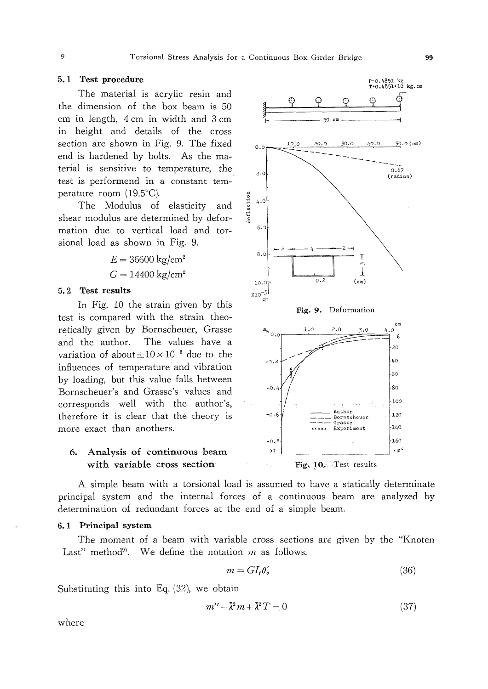# 5.1 Test procedure

The material is acrylic resin and the dimension of the box beam is 50 cm in length, 4 cm in width and 3 cm in height and details of the cross section are shown in Fig. 9. The fixed end is hardened by bolts. As the material is sensitive to temperature, the test is performend in a constant temperature room (19.5°C).

The Modulus of elasticity and shear modulus are determined by deformation due to vertical load and torsional load as shown in Fig. 9.

> $E = 36600 \text{ kg/cm}^2$  $G = 14400$  kg/cm<sup>2</sup>

# 5.2 Test results

In Fig. 10 the strain given by this test is compared with the strain theoretically given by Bornscheuer, Grasse and the author. The values have a variation of about  $\pm 10 \times 10^{-6}$  due to the influences of temperature and vibration by loading, but this value falls between Bornscheuer's and Grasse's values and corresponds well with the author's, therefore it is clear that the theory is more exact than anothers.

# 6. Analysis of continuous beam with variable cross section

A simple beam with a torsional load is assumed to have a statically determinate principal system and the internal forces of a continuous beam are analyzed by determination of redundant forces at the end of a simple beam.

#### 6.1 Principal system

The moment of a beam with variable cross sections are given by the "Knoten" Last" method<sup>9)</sup>. We define the notation  $m$  as follows.

$$
m = GI_t \theta'_s \tag{36}
$$

Substituting this into Eq.  $(32)$ , we obtain

$$
m'' - \bar{\lambda}^2 m + \bar{\lambda}^2 T = 0 \tag{37}
$$

where



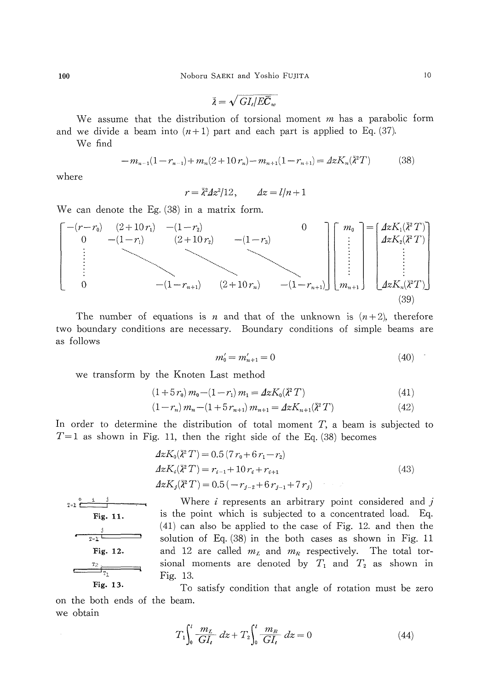$\bar{\lambda} = \sqrt{GL/EC}$ 

We assume that the distribution of torsional moment  $m$  has a parabolic form and we divide a beam into  $(n+1)$  part and each part is applied to Eq. (37).

We find

$$
-m_{n-1}(1-r_{n-1})+m_n(2+10r_n)-m_{n+1}(1-r_{n+1})=4zK_n(\bar{\lambda}^2T)
$$
 (38)

where

$$
r = \overline{\lambda}^2 \Delta z^2 / 12, \qquad \Delta z = l/n + 1
$$



The number of equations is *n* and that of the unknown is  $(n+2)$ , therefore two boundary conditions are necessary. Boundary conditions of simple beams are as follows

$$
m_0' = m_{n+1}' = 0 \tag{40}
$$

we transform by the Knoten Last method

$$
(1+5r_0) m_0 - (1-r_1) m_1 = 4zK_0(\bar{\lambda}^2 T)
$$
\n(41)

$$
(1 - r_n) m_n - (1 + 5 r_{n+1}) m_{n+1} = 4z K_{n+1}(\bar{\lambda}^2 T) \tag{42}
$$

In order to determine the distribution of total moment  $T$ , a beam is subjected to  $T=1$  as shown in Fig. 11, then the right side of the Eq. (38) becomes

$$
4zK_0(\bar{\lambda}^2 T) = 0.5 (7r_0 + 6r_1 - r_2)
$$
  
\n
$$
4zK_i(\bar{\lambda}^2 T) = r_{i-1} + 10r_i + r_{i+1}
$$
  
\n
$$
4zK_j(\bar{\lambda}^2 T) = 0.5 (-r_{j-2} + 6r_{j-1} + 7r_j)
$$
\n(43)



Where  $i$  represents an arbitrary point considered and  $j$ is the point which is subjected to a concentrated load. Eq.  $(41)$  can also be applied to the case of Fig. 12. and then the solution of Eq. (38) in the both cases as shown in Fig. 11 and 12 are called  $m_L$  and  $m_R$  respectively. The total torsional moments are denoted by  $T_1$  and  $T_2$  as shown in Fig. 13.

To satisfy condition that angle of rotation must be zero on the both ends of the beam. we obtain

$$
T_1 \int_0^l \frac{m_L}{GI_t} \, dx + T_2 \int_0^l \frac{m_R}{GI_t} \, dz = 0 \tag{44}
$$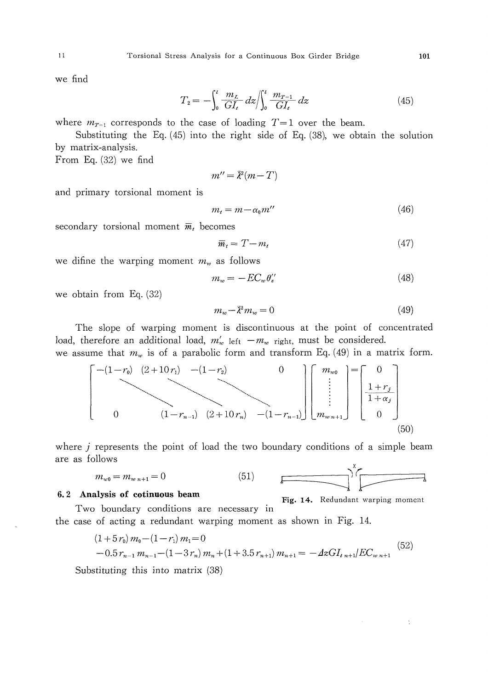we find

$$
T_2 = -\int_0^l \frac{m_L}{GI_t} \, dz \bigg| \int_0^l \frac{m_{T=1}}{GI_t} \, dz \tag{45}
$$

where  $m_{T=1}$  corresponds to the case of loading  $T=1$  over the beam.

Substituting the Eq.  $(45)$  into the right side of Eq.  $(38)$ , we obtain the solution by matrix-analysis.

From Eq.  $(32)$  we find

$$
m'' = \bar{\lambda}^2(m - T)
$$

and primary torsional moment is

$$
m_t = m - \alpha_0 m'' \tag{46}
$$

secondary torsional moment  $\overline{m}_t$  becomes

$$
\overline{m}_t = T - m_t \tag{47}
$$

we difine the warping moment  $m_w$  as follows

$$
m_w = -EC_w \theta_s^{\prime\prime} \tag{48}
$$

we obtain from Eq.  $(32)$ 

$$
m_w - \bar{\lambda}^2 m_w = 0 \tag{49}
$$

The slope of warping moment is discontinuous at the point of concentrated load, therefore an additional load,  $m'_w$  left  $-m_w$  right, must be considered.

we assume that  $m_w$  is of a parabolic form and transform Eq. (49) in a matrix form.

$$
\begin{bmatrix}\n-(1-r_0) & (2+10r_1) & -(1-r_2) & & 0 \\
& \ddots & & \ddots & \ddots \\
& & & (1-r_{n-1}) & (2+10r_n) & -(1-r_{n-1})\n\end{bmatrix}\n\begin{bmatrix}\nm_{w0} \\
\vdots \\
m_{w1+1}\n\end{bmatrix} =\n\begin{bmatrix}\n0 \\
1+r_j \\
1+\alpha_j \\
0\n\end{bmatrix}
$$
\n(50)

where  $j$  represents the point of load the two boundary conditions of a simple beam are as follows

$$
m_{w0} = m_{w n+1} = 0 \tag{51}
$$

$$
\overbrace{\hspace{4.5cm}}^{x}
$$

#### 6.2 Analysis of cotinuous beam

```
Fig. 14. Redundant warping moment
```
÷

Two boundary conditions are necessary in the case of acting a redundant warping moment as shown in Fig. 14.

$$
(1+5r_0) m_0 - (1-r_1) m_1 = 0
$$
  
-0.5r<sub>n-1</sub> m<sub>n-1</sub> - (1-3r<sub>n</sub>) m<sub>n</sub> + (1+3.5r<sub>n+1</sub>) m<sub>n+1</sub> = -4zGI<sub>t n+1</sub>/EC<sub>w n+1</sub> (52)

Substituting this into matrix (38)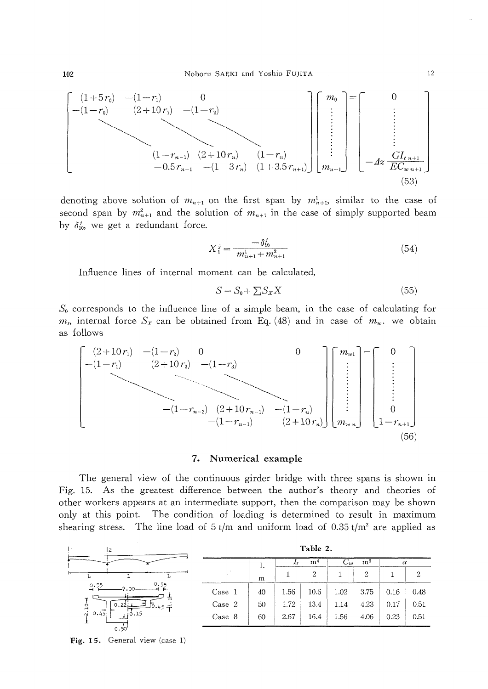

denoting above solution of  $m_{n+1}$  on the first span by  $m_{n+1}^1$ , similar to the case of second span by  $m_{n+1}^2$  and the solution of  $m_{n+1}$  in the case of simply supported beam by  $\delta_{10}^j$ , we get a redundant force.

$$
X_1^j = \frac{-\delta_{10}^j}{m_{n+1}^1 + m_{n+1}^2} \tag{54}
$$

Influence lines of internal moment can be calculated,

$$
S = S_0 + \sum S_x X \tag{55}
$$

 $S_0$  corresponds to the influence line of a simple beam, in the case of calculating for  $m_t$ , internal force  $S_x$  can be obtained from Eq. (48) and in case of  $m_w$ , we obtain as follows



## 7. Numerical example

The general view of the continuous girder bridge with three spans is shown in Fig. 15. As the greatest difference between the author's theory and theories of other workers appears at an intermediate support, then the comparison may be shown only at this point. The condition of loading is determined to result in maximum shearing stress. The line load of  $5 t/m$  and uniform load of  $0.35 t/m<sup>2</sup>$  are applied as

| 12                              | Table 2. |    |                |                |                            |      |          |      |  |  |
|---------------------------------|----------|----|----------------|----------------|----------------------------|------|----------|------|--|--|
|                                 |          | ᅩ  | m <sup>4</sup> |                | m <sub>0</sub><br>$\cup v$ |      | $\alpha$ |      |  |  |
|                                 |          | m  |                | $\overline{2}$ |                            | 2    |          | 2    |  |  |
| 0.55<br>2.55                    | Case 1   | 40 | 1.56           | 10.6           | 1.02                       | 3.75 | 0.16     | 0.48 |  |  |
| 0.221<br>غ.<br>∫0.45 ⊈          | Case 2   | 50 | 1.72           | 13.4           | 1.14                       | 4.23 | 0.17     | 0.51 |  |  |
| :0.15<br>0.45<br>$\sim$<br>0.50 | Case 8   | 60 | 2.67           | 16.4           | 1.56                       | 4.06 | 0.23     | 0.51 |  |  |

Fig. 15. General view  $(\text{case 1})$ 

102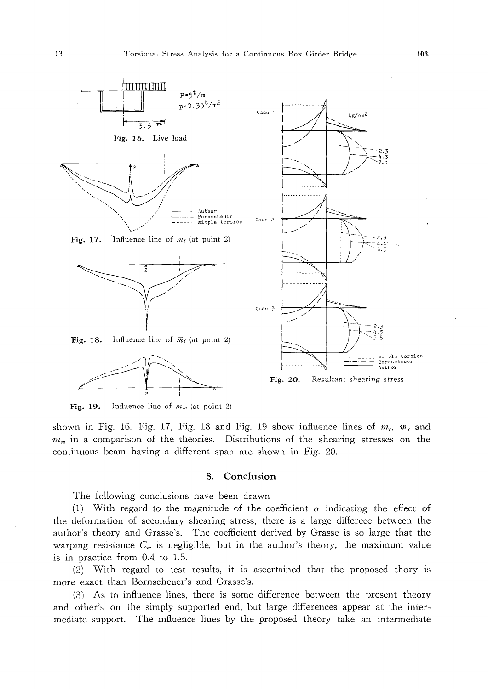

Influence line of  $m_w$  (at point 2) Fig. 19.

shown in Fig. 16. Fig. 17, Fig. 18 and Fig. 19 show influence lines of  $m_t$ ,  $\overline{m}_t$  and  $m_w$  in a comparison of the theories. Distributions of the shearing stresses on the continuous beam having a different span are shown in Fig. 20.

#### 8. Conclusion

The following conclusions have been drawn

(1) With regard to the magnitude of the coefficient  $\alpha$  indicating the effect of the deformation of secondary shearing stress, there is a large differece between the author's theory and Grasse's. The coefficient derived by Grasse is so large that the warping resistance  $C_w$  is negligible, but in the author's theory, the maximum value is in practice from 0.4 to 1.5.

(2) With regard to test results, it is ascertained that the proposed thory is more exact than Bornscheuer's and Grasse's.

(3) As to influence lines, there is some difference between the present theory and other's on the simply supported end, but large differences appear at the intermediate support. The influence lines by the proposed theory take an intermediate